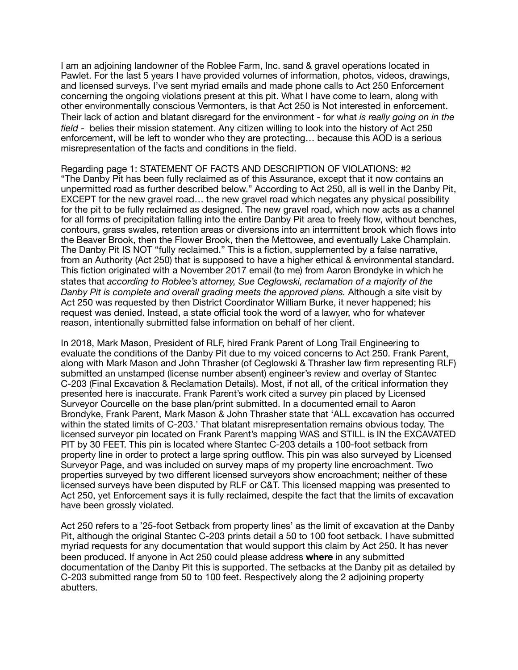I am an adjoining landowner of the Roblee Farm, Inc. sand & gravel operations located in Pawlet. For the last 5 years I have provided volumes of information, photos, videos, drawings, and licensed surveys. I've sent myriad emails and made phone calls to Act 250 Enforcement concerning the ongoing violations present at this pit. What I have come to learn, along with other environmentally conscious Vermonters, is that Act 250 is Not interested in enforcement. Their lack of action and blatant disregard for the environment - for what *is really going on in the field* - belies their mission statement. Any citizen willing to look into the history of Act 250 enforcement, will be left to wonder who they are protecting… because this AOD is a serious misrepresentation of the facts and conditions in the field.

Regarding page 1: STATEMENT OF FACTS AND DESCRIPTION OF VIOLATIONS: #2 "The Danby Pit has been fully reclaimed as of this Assurance, except that it now contains an unpermitted road as further described below." According to Act 250, all is well in the Danby Pit, EXCEPT for the new gravel road… the new gravel road which negates any physical possibility for the pit to be fully reclaimed as designed. The new gravel road, which now acts as a channel for all forms of precipitation falling into the entire Danby Pit area to freely flow, without benches, contours, grass swales, retention areas or diversions into an intermittent brook which flows into the Beaver Brook, then the Flower Brook, then the Mettowee, and eventually Lake Champlain. The Danby Pit IS NOT "fully reclaimed." This is a fiction, supplemented by a false narrative, from an Authority (Act 250) that is supposed to have a higher ethical & environmental standard. This fiction originated with a November 2017 email (to me) from Aaron Brondyke in which he states that *according to Roblee's attorney, Sue Ceglowski, reclamation of a majority of the Danby Pit is complete and overall grading meets the approved plans.* Although a site visit by Act 250 was requested by then District Coordinator William Burke, it never happened; his request was denied. Instead, a state official took the word of a lawyer, who for whatever reason, intentionally submitted false information on behalf of her client.

In 2018, Mark Mason, President of RLF, hired Frank Parent of Long Trail Engineering to evaluate the conditions of the Danby Pit due to my voiced concerns to Act 250. Frank Parent, along with Mark Mason and John Thrasher (of Ceglowski & Thrasher law firm representing RLF) submitted an unstamped (license number absent) engineer's review and overlay of Stantec C-203 (Final Excavation & Reclamation Details). Most, if not all, of the critical information they presented here is inaccurate. Frank Parent's work cited a survey pin placed by Licensed Surveyor Courcelle on the base plan/print submitted. In a documented email to Aaron Brondyke, Frank Parent, Mark Mason & John Thrasher state that 'ALL excavation has occurred within the stated limits of C-203.' That blatant misrepresentation remains obvious today. The licensed surveyor pin located on Frank Parent's mapping WAS and STILL is IN the EXCAVATED PIT by 30 FEET. This pin is located where Stantec C-203 details a 100-foot setback from property line in order to protect a large spring outflow. This pin was also surveyed by Licensed Surveyor Page, and was included on survey maps of my property line encroachment. Two properties surveyed by two different licensed surveyors show encroachment; neither of these licensed surveys have been disputed by RLF or C&T. This licensed mapping was presented to Act 250, yet Enforcement says it is fully reclaimed, despite the fact that the limits of excavation have been grossly violated.

Act 250 refers to a '25-foot Setback from property lines' as the limit of excavation at the Danby Pit, although the original Stantec C-203 prints detail a 50 to 100 foot setback. I have submitted myriad requests for any documentation that would support this claim by Act 250. It has never been produced. If anyone in Act 250 could please address **where** in any submitted documentation of the Danby Pit this is supported. The setbacks at the Danby pit as detailed by C-203 submitted range from 50 to 100 feet. Respectively along the 2 adjoining property abutters.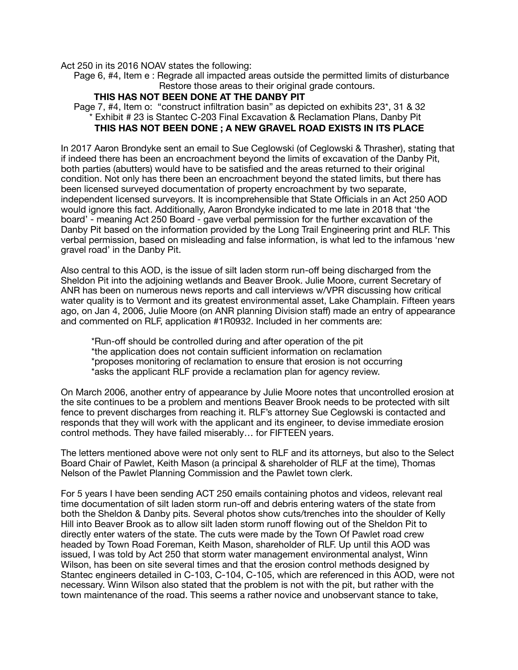Act 250 in its 2016 NOAV states the following:

 Page 6, #4, Item e : Regrade all impacted areas outside the permitted limits of disturbance Restore those areas to their original grade contours.

## **THIS HAS NOT BEEN DONE AT THE DANBY PIT**

 Page 7, #4, Item o: "construct infiltration basin" as depicted on exhibits 23\*, 31 & 32 Exhibit # 23 is Stantec C-203 Final Excavation & Reclamation Plans, Danby Pit **THIS HAS NOT BEEN DONE ; A NEW GRAVEL ROAD EXISTS IN ITS PLACE**

In 2017 Aaron Brondyke sent an email to Sue Ceglowski (of Ceglowski & Thrasher), stating that if indeed there has been an encroachment beyond the limits of excavation of the Danby Pit, both parties (abutters) would have to be satisfied and the areas returned to their original condition. Not only has there been an encroachment beyond the stated limits, but there has been licensed surveyed documentation of property encroachment by two separate, independent licensed surveyors. It is incomprehensible that State Officials in an Act 250 AOD would ignore this fact. Additionally, Aaron Brondyke indicated to me late in 2018 that 'the board' - meaning Act 250 Board - gave verbal permission for the further excavation of the Danby Pit based on the information provided by the Long Trail Engineering print and RLF. This verbal permission, based on misleading and false information, is what led to the infamous 'new gravel road' in the Danby Pit.

Also central to this AOD, is the issue of silt laden storm run-off being discharged from the Sheldon Pit into the adjoining wetlands and Beaver Brook. Julie Moore, current Secretary of ANR has been on numerous news reports and call interviews w/VPR discussing how critical water quality is to Vermont and its greatest environmental asset, Lake Champlain. Fifteen years ago, on Jan 4, 2006, Julie Moore (on ANR planning Division staff) made an entry of appearance and commented on RLF, application #1R0932. Included in her comments are:

\*Run-off should be controlled during and after operation of the pit \*the application does not contain sufficient information on reclamation \*proposes monitoring of reclamation to ensure that erosion is not occurring \*asks the applicant RLF provide a reclamation plan for agency review.

On March 2006, another entry of appearance by Julie Moore notes that uncontrolled erosion at the site continues to be a problem and mentions Beaver Brook needs to be protected with silt fence to prevent discharges from reaching it. RLF's attorney Sue Ceglowski is contacted and responds that they will work with the applicant and its engineer, to devise immediate erosion control methods. They have failed miserably… for FIFTEEN years.

The letters mentioned above were not only sent to RLF and its attorneys, but also to the Select Board Chair of Pawlet, Keith Mason (a principal & shareholder of RLF at the time), Thomas Nelson of the Pawlet Planning Commission and the Pawlet town clerk.

For 5 years I have been sending ACT 250 emails containing photos and videos, relevant real time documentation of silt laden storm run-off and debris entering waters of the state from both the Sheldon & Danby pits. Several photos show cuts/trenches into the shoulder of Kelly Hill into Beaver Brook as to allow silt laden storm runoff flowing out of the Sheldon Pit to directly enter waters of the state. The cuts were made by the Town Of Pawlet road crew headed by Town Road Foreman, Keith Mason, shareholder of RLF. Up until this AOD was issued, I was told by Act 250 that storm water management environmental analyst, Winn Wilson, has been on site several times and that the erosion control methods designed by Stantec engineers detailed in C-103, C-104, C-105, which are referenced in this AOD, were not necessary. Winn Wilson also stated that the problem is not with the pit, but rather with the town maintenance of the road. This seems a rather novice and unobservant stance to take,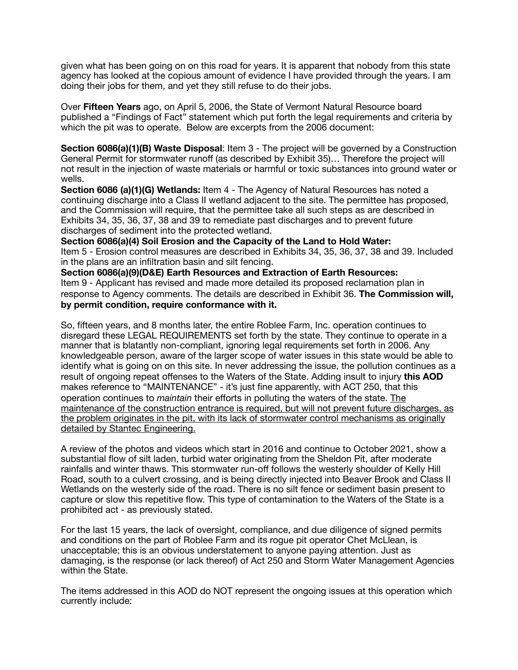given what has been going on on this road for years. It is apparent that nobody from this state agency has looked at the copious amount of evidence I have provided through the years. I am doing their jobs for them, and yet they still refuse to do their jobs.

Over **Fifteen Years** ago, on April 5, 2006, the State of Vermont Natural Resource board published a "Findings of Fact" statement which put forth the legal requirements and criteria by which the pit was to operate. Below are excerpts from the 2006 document:

**Section 6086(a)(1)(B) Waste Disposal:** Item 3 - The project will be governed by a Construction General Permit for stormwater runoff (as described by Exhibit 35)… Therefore the project will not result in the injection of waste materials or harmful or toxic substances into ground water or wells.

**Section 6086 (a)(1)(G) Wetlands:** Item 4 - The Agency of Natural Resources has noted a continuing discharge into a Class II wetland adjacent to the site. The permittee has proposed, and the Commission will require, that the permittee take all such steps as are described in Exhibits 34, 35, 36, 37, 38 and 39 to remediate past discharges and to prevent future discharges of sediment into the protected wetland.

**Section 6086(a)(4) Soil Erosion and the Capacity of the Land to Hold Water:**  Item 5 - Erosion control measures are described in Exhibits 34, 35, 36, 37, 38 and 39. Included in the plans are an infiltration basin and silt fencing.

**Section 6086(a)(9)(D&E) Earth Resources and Extraction of Earth Resources:**  Item 9 - Applicant has revised and made more detailed its proposed reclamation plan in response to Agency comments. The details are described in Exhibit 36. **The Commission will, by permit condition, require conformance with it.**

So, fifteen years, and 8 months later, the entire Roblee Farm, Inc. operation continues to disregard these LEGAL REQUIREMENTS set forth by the state. They continue to operate in a manner that is blatantly non-compliant, ignoring legal requirements set forth in 2006. Any knowledgeable person, aware of the larger scope of water issues in this state would be able to identify what is going on on this site. In never addressing the issue, the pollution continues as a result of ongoing repeat offenses to the Waters of the State. Adding insult to injury **this AOD** makes reference to "MAINTENANCE" - it's just fine apparently, with ACT 250, that this operation continues to *maintain* their efforts in polluting the waters of the state. The maintenance of the construction entrance is required, but will not prevent future discharges, as the problem originates in the pit, with its lack of stormwater control mechanisms as originally detailed by Stantec Engineering.

A review of the photos and videos which start in 2016 and continue to October 2021, show a substantial flow of silt laden, turbid water originating from the Sheldon Pit, after moderate rainfalls and winter thaws. This stormwater run-off follows the westerly shoulder of Kelly Hill Road, south to a culvert crossing, and is being directly injected into Beaver Brook and Class II Wetlands on the westerly side of the road. There is no silt fence or sediment basin present to capture or slow this repetitive flow. This type of contamination to the Waters of the State is a prohibited act - as previously stated.

For the last 15 years, the lack of oversight, compliance, and due diligence of signed permits and conditions on the part of Roblee Farm and its rogue pit operator Chet McLlean, is unacceptable; this is an obvious understatement to anyone paying attention. Just as damaging, is the response (or lack thereof) of Act 250 and Storm Water Management Agencies within the State.

The items addressed in this AOD do NOT represent the ongoing issues at this operation which currently include: